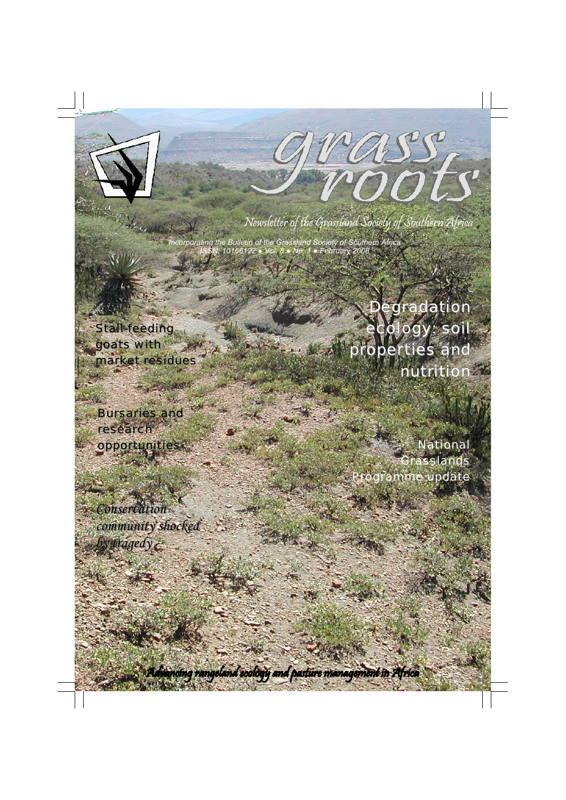

Jrass,

Newsletter of the Grassland Society of Southern Africa

*Incorporating the Bulletin of the Grassland Society of Southern Africa ISSN: 10166122 ● Vol. 8 ● No. 1 ● February 2008* 

**Stall-feeding** goats with market residues

**Bursaries and** research opportunities

*Conservation* community shocked *by tragedy by tragedy*

Degradation ecology: soil properties and nutrition

*National Grasslands Programme update*

Advancing rangeland ecology and pasture management in Africa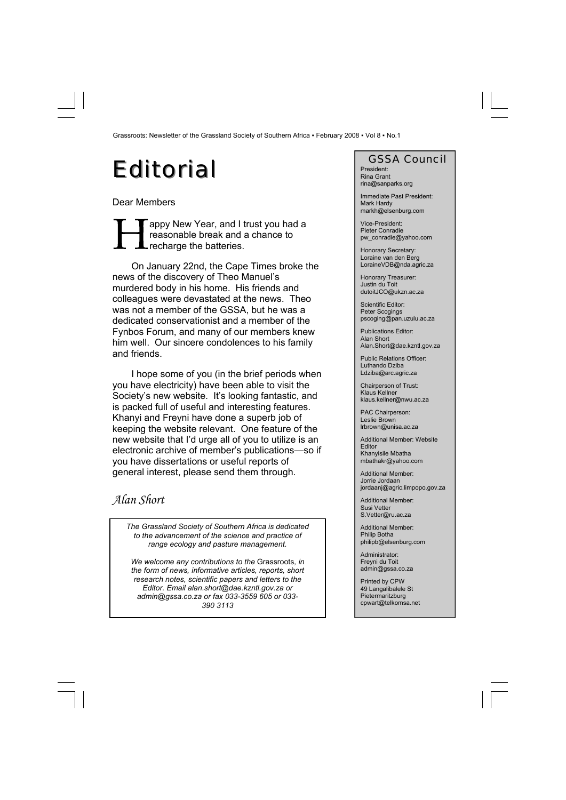## Editorial GSSA Council

Dear Members

sappy New Year, and I trust you had a reasonable break and a chance to recharge the batteries.

On January 22nd, the Cape Times broke the news of the discovery of Theo Manuel's murdered body in his home. His friends and colleagues were devastated at the news. Theo was not a member of the GSSA, but he was a dedicated conservationist and a member of the Fynbos Forum, and many of our members knew him well. Our sincere condolences to his family and friends.

I hope some of you (in the brief periods when you have electricity) have been able to visit the Society's new website. It's looking fantastic, and is packed full of useful and interesting features. Khanyi and Freyni have done a superb job of keeping the website relevant. One feature of the new website that I'd urge all of you to utilize is an electronic archive of member's publications—so if you have dissertations or useful reports of general interest, please send them through.

### *Alan Short*

*The Grassland Society of Southern Africa is dedicated to the advancement of the science and practice of range ecology and pasture management.* 

*We welcome any contributions to the* Grassroots*, in the form of news, informative articles, reports, short research notes, scientific papers and letters to the Editor. Email alan.short@dae.kzntl.gov.za or admin@gssa.co.za or fax 033-3559 605 or 033- 390 3113*

President: Rina Grant rina@sanparks.org

Immediate Past President: Mark Hardy markh@elsenburg.com

Vice-President: Pieter Conradie pw\_conradie@yahoo.com

Honorary Secretary: Loraine van den Berg LoraineVDB@nda.agric.za

Honorary Treasurer: Justin du Toit dutoitJCO@ukzn.ac.za

Scientific Editor: Peter Scogings pscoging@pan.uzulu.ac.za

Publications Editor: Alan Short Alan.Short@dae.kzntl.gov.za

Public Relations Officer: Luthando Dziba Ldziba@arc.agric.za

Chairperson of Trust: Klaus Kellner klaus.kellner@nwu.ac.za

PAC Chairperson: Leslie Brown lrbrown@unisa.ac.za

Additional Member: Website Editor Khanyisile Mbatha mbathakr@yahoo.com

Additional Member: Jorrie Jordaan jordaanj@agric.limpopo.gov.za

Additional Member: Susi Vetter S.Vetter@ru.ac.za

Additional Member: Philip Botha philipb@elsenburg.com

Administrator: Freyni du Toit admin@gssa.co.za

Printed by CPW 49 Langalibalele St **Pietermaritzburg** cpwart@telkomsa.net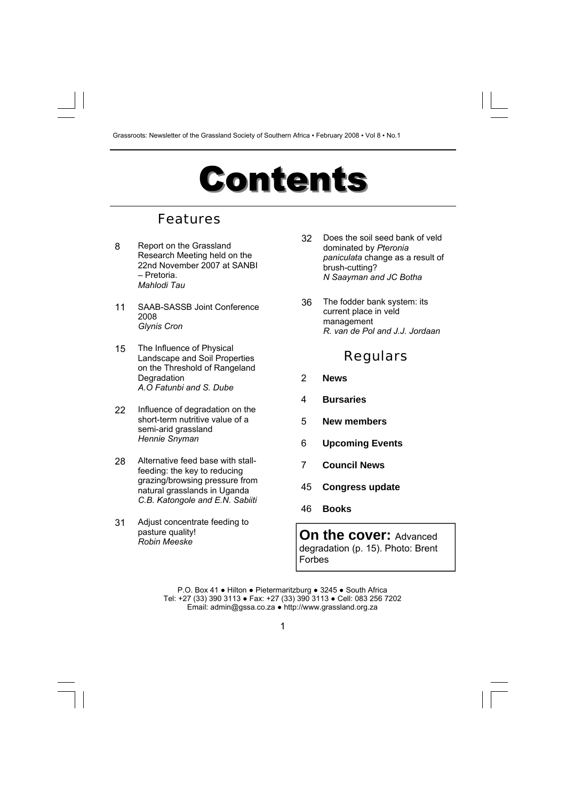## **Contents**

### Features

- 8 Report on the Grassland Research Meeting held on the 22nd November 2007 at SANBI – Pretoria. *Mahlodi Tau*
- 11 SAAB-SASSB Joint Conference 2008 *Glynis Cron*
- 15 The Influence of Physical Landscape and Soil Properties on the Threshold of Rangeland **Degradation** *A.O Fatunbi and S. Dube*
- 22 Influence of degradation on the short-term nutritive value of a semi-arid grassland *Hennie Snyman*
- 28 Alternative feed base with stallfeeding: the key to reducing grazing/browsing pressure from natural grasslands in Uganda *C.B. Katongole and E.N. Sabiiti*
- 31 Adjust concentrate feeding to pasture quality! *Robin Meeske*
- 32 Does the soil seed bank of veld dominated by *Pteronia paniculata* change as a result of brush-cutting? *N Saayman and JC Botha*
- 36 The fodder bank system: its current place in veld management *R. van de Pol and J.J. Jordaan*

### Regulars

- 2 **News**
- 4 **Bursaries**
- 5 **New members**
- 6 **Upcoming Events**
- 7 **Council News**
- 45 **Congress update**
- 46 **Books**

**On the cover: Advanced** degradation (p. 15). Photo: Brent Forbes

P.O. Box 41 ● Hilton ● Pietermaritzburg ● 3245 ● South Africa Tel: +27 (33) 390 3113 ● Fax: +27 (33) 390 3113 ● Cell: 083 256 7202 Email: admin@gssa.co.za ● http://www.grassland.org.za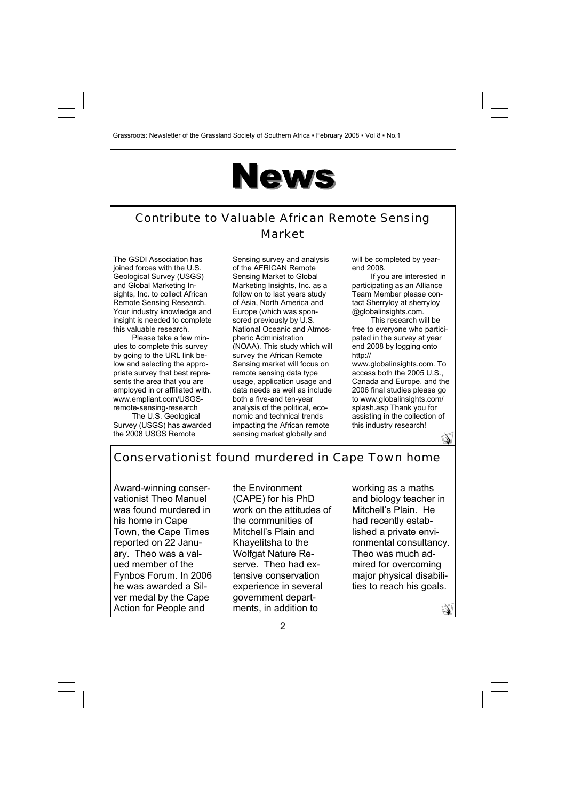## **News**

### Contribute to Valuable African Remote Sensing Market

The GSDI Association has joined forces with the U.S. Geological Survey (USGS) and Global Marketing Insights, Inc. to collect African Remote Sensing Research. Your industry knowledge and insight is needed to complete this valuable research.

Please take a few minutes to complete this survey by going to the URL link below and selecting the appropriate survey that best represents the area that you are employed in or affiliated with. www.empliant.com/USGSremote-sensing-research

The U.S. Geological Survey (USGS) has awarded the 2008 USGS Remote

Sensing survey and analysis of the AFRICAN Remote Sensing Market to Global Marketing Insights, Inc. as a follow on to last years study of Asia, North America and Europe (which was sponsored previously by U.S. National Oceanic and Atmospheric Administration (NOAA). This study which will survey the African Remote Sensing market will focus on remote sensing data type usage, application usage and data needs as well as include both a five-and ten-year analysis of the political, economic and technical trends impacting the African remote sensing market globally and

will be completed by yearend 2008.

If you are interested in participating as an Alliance Team Member please contact Sherryloy at sherryloy @globalinsights.com.

This research will be free to everyone who participated in the survey at year end 2008 by logging onto http://

www.globalinsights.com. To access both the 2005 U.S., Canada and Europe, and the 2006 final studies please go to www.globalinsights.com/ splash.asp Thank you for assisting in the collection of this industry research!

### P

Q

### Conservationist found murdered in Cape Town home

Award-winning conservationist Theo Manuel was found murdered in his home in Cape Town, the Cape Times reported on 22 January. Theo was a valued member of the Fynbos Forum. In 2006 he was awarded a Silver medal by the Cape Action for People and

the Environment (CAPE) for his PhD work on the attitudes of the communities of Mitchell's Plain and Khayelitsha to the Wolfgat Nature Reserve. Theo had extensive conservation experience in several government departments, in addition to

working as a maths and biology teacher in Mitchell's Plain. He had recently established a private environmental consultancy. Theo was much admired for overcoming major physical disabilities to reach his goals.

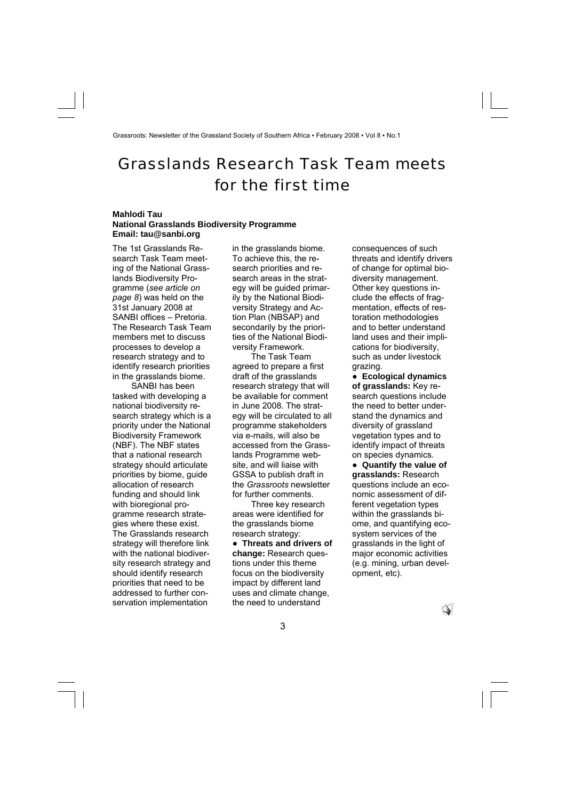### Grasslands Research Task Team meets for the first time

### **Mahlodi Tau National Grasslands Biodiversity Programme Email: tau@sanbi.org**

The 1st Grasslands Research Task Team meeting of the National Grasslands Biodiversity Programme (*see article on page 8*) was held on the 31st January 2008 at SANBI offices – Pretoria. The Research Task Team members met to discuss processes to develop a research strategy and to identify research priorities in the grasslands biome.

SANBI has been tasked with developing a national biodiversity research strategy which is a priority under the National Biodiversity Framework (NBF). The NBF states that a national research strategy should articulate priorities by biome, guide allocation of research funding and should link with bioregional programme research strategies where these exist. The Grasslands research strategy will therefore link with the national biodiversity research strategy and should identify research priorities that need to be addressed to further conservation implementation

in the grasslands biome. To achieve this, the research priorities and research areas in the strategy will be guided primarily by the National Biodiversity Strategy and Action Plan (NBSAP) and secondarily by the priorities of the National Biodiversity Framework.

The Task Team agreed to prepare a first draft of the grasslands research strategy that will be available for comment in June 2008. The strategy will be circulated to all programme stakeholders via e-mails, will also be accessed from the Grasslands Programme website, and will liaise with GSSA to publish draft in the *Grassroots* newsletter for further comments.

Three key research areas were identified for the grasslands biome research strategy:

● **Threats and drivers of change:** Research questions under this theme focus on the biodiversity impact by different land uses and climate change, the need to understand

consequences of such threats and identify drivers of change for optimal biodiversity management. Other key questions include the effects of fragmentation, effects of restoration methodologies and to better understand land uses and their implications for biodiversity, such as under livestock grazing.

● **Ecological dynamics of grasslands:** Key research questions include the need to better understand the dynamics and diversity of grassland vegetation types and to identify impact of threats on species dynamics.

● **Quantify the value of grasslands:** Research questions include an economic assessment of different vegetation types within the grasslands biome, and quantifying ecosystem services of the grasslands in the light of major economic activities (e.g. mining, urban development, etc).

 $\mathbb{Q}$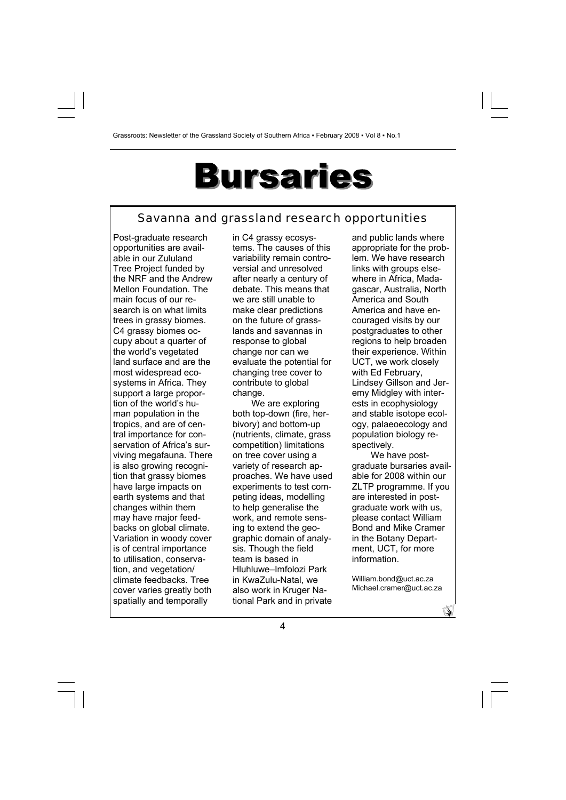## **Bursaries**

### Savanna and grassland research opportunities

Post-graduate research opportunities are available in our Zululand Tree Project funded by the NRF and the Andrew Mellon Foundation. The main focus of our research is on what limits trees in grassy biomes. C4 grassy biomes occupy about a quarter of the world's vegetated land surface and are the most widespread ecosystems in Africa. They support a large proportion of the world's human population in the tropics, and are of central importance for conservation of Africa's surviving megafauna. There is also growing recognition that grassy biomes have large impacts on earth systems and that changes within them may have major feedbacks on global climate. Variation in woody cover is of central importance to utilisation, conservation, and vegetation/ climate feedbacks. Tree cover varies greatly both spatially and temporally

in C4 grassy ecosystems. The causes of this variability remain controversial and unresolved after nearly a century of debate. This means that we are still unable to make clear predictions on the future of grasslands and savannas in response to global change nor can we evaluate the potential for changing tree cover to contribute to global change.

We are exploring both top-down (fire, herbivory) and bottom-up (nutrients, climate, grass competition) limitations on tree cover using a variety of research approaches. We have used experiments to test competing ideas, modelling to help generalise the work, and remote sensing to extend the geographic domain of analysis. Though the field team is based in Hluhluwe–Imfolozi Park in KwaZulu-Natal, we also work in Kruger National Park and in private and public lands where appropriate for the problem. We have research links with groups elsewhere in Africa, Madagascar, Australia, North America and South America and have encouraged visits by our postgraduates to other regions to help broaden their experience. Within UCT, we work closely with Ed February, Lindsey Gillson and Jeremy Midgley with interests in ecophysiology and stable isotope ecology, palaeoecology and population biology respectively.

We have postgraduate bursaries available for 2008 within our ZLTP programme. If you are interested in postgraduate work with us, please contact William Bond and Mike Cramer in the Botany Department, UCT, for more information.

William.bond@uct.ac.za Michael.cramer@uct.ac.za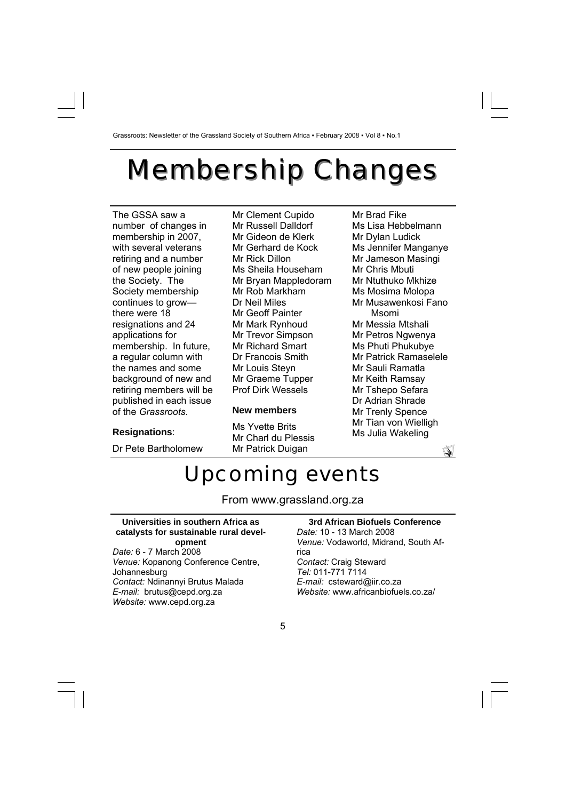## **Membership Changes**

The GSSA saw a number of changes in membership in 2007, with several veterans retiring and a number of new people joining the Society. The Society membership continues to grow there were 18 resignations and 24 applications for membership. In future, a regular column with the names and some background of new and retiring members will be published in each issue of the *Grassroots*.

### **Resignations**:

Dr Pete Bartholomew

Mr Clement Cupido Mr Russell Dalldorf Mr Gideon de Klerk Mr Gerhard de Kock Mr Rick Dillon Ms Sheila Househam Mr Bryan Mappledoram Mr Rob Markham Dr Neil Miles Mr Geoff Painter Mr Mark Rynhoud Mr Trevor Simpson Mr Richard Smart Dr Francois Smith Mr Louis Steyn Mr Graeme Tupper Prof Dirk Wessels

### **New members**

Ms Yvette Brits Mr Charl du Plessis Mr Patrick Duigan

Mr Brad Fike Ms Lisa Hebbelmann Mr Dylan Ludick Ms Jennifer Manganye Mr Jameson Masingi Mr Chris Mbuti Mr Ntuthuko Mkhize Ms Mosima Molopa Mr Musawenkosi Fano Msomi Mr Messia Mtshali Mr Petros Ngwenya Ms Phuti Phukubye Mr Patrick Ramaselele Mr Sauli Ramatla Mr Keith Ramsay Mr Tshepo Sefara Dr Adrian Shrade Mr Trenly Spence Mr Tian von Wielligh Ms Julia Wakeling



### Upcoming events

From www.grassland.org.za

#### **Universities in southern Africa as catalysts for sustainable rural development**

*Date:* 6 - 7 March 2008 *Venue:* Kopanong Conference Centre, Johannesburg *Contact:* Ndinannyi Brutus Malada *E-mail:* brutus@cepd.org.za *Website:* www.cepd.org.za

### **3rd African Biofuels Conference**

*Date:* 10 - 13 March 2008 *Venue:* Vodaworld, Midrand, South Africa *Contact:* Craig Steward *Tel:* 011-771 7114 *E-mail:* csteward@iir.co.za *Website:* www.africanbiofuels.co.za/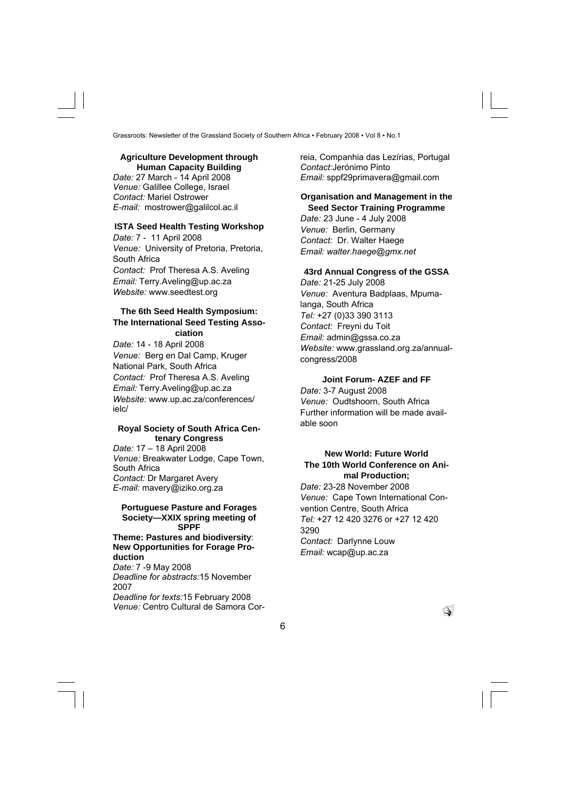### **Agriculture Development through Human Capacity Building**

*Date:* 27 March - 14 April 2008 *Venue:* Galillee College, Israel *Contact:* Mariel Ostrower *E-mail:* mostrower@galilcol.ac.il

### **ISTA Seed Health Testing Workshop**

*Date:* 7 - 11 April 2008 *Venue:* University of Pretoria, Pretoria, South Africa *Contact:* Prof Theresa A.S. Aveling *Email:* Terry.Aveling@up.ac.za *Website:* www.seedtest.org

### **The 6th Seed Health Symposium: The International Seed Testing Association**

*Date:* 14 - 18 April 2008 *Venue:* Berg en Dal Camp, Kruger National Park, South Africa *Contact:* Prof Theresa A.S. Aveling *Email:* Terry.Aveling@up.ac.za *Website:* www.up.ac.za/conferences/ ielc/

### **Royal Society of South Africa Centenary Congress**

*Date:* 17 – 18 April 2008 *Venue:* Breakwater Lodge, Cape Town, South Africa *Contact:* Dr Margaret Avery *E-mail:* mavery@iziko.org.za

### **Portuguese Pasture and Forages Society—XXIX spring meeting of SPPF**

#### **Theme: Pastures and biodiversity**: **New Opportunities for Forage Production**

*Date:* 7 -9 May 2008 *Deadline for abstracts:*15 November 2007 *Deadline for texts:*15 February 2008 *Venue:* Centro Cultural de Samora Correia, Companhia das Lezírias, Portugal *Contact:*Jerónimo Pinto *Email:* sppf29primavera@gmail.com

### **Organisation and Management in the Seed Sector Training Programme**

*Date:* 23 June - 4 July 2008 *Venue:* Berlin, Germany *Contact:* Dr. Walter Haege *Email: walter.haege@gmx.net* 

### **43rd Annual Congress of the GSSA**

*Date:* 21-25 July 2008 *Venue:* Aventura Badplaas, Mpumalanga, South Africa *Tel:* +27 (0)33 390 3113 *Contact:* Freyni du Toit *Email:* admin@gssa.co.za *Website:* www.grassland.org.za/annualcongress/2008

### **Joint Forum- AZEF and FF**

*Date:* 3-7 August 2008 *Venue:* Oudtshoorn, South Africa Further information will be made available soon

### **New World: Future World The 10th World Conference on Animal Production;**

*Date:* 23-28 November 2008 *Venue:* Cape Town International Convention Centre, South Africa *Tel:* +27 12 420 3276 or +27 12 420 3290 *Contact:* Darlynne Louw *Email:* wcap@up.ac.za